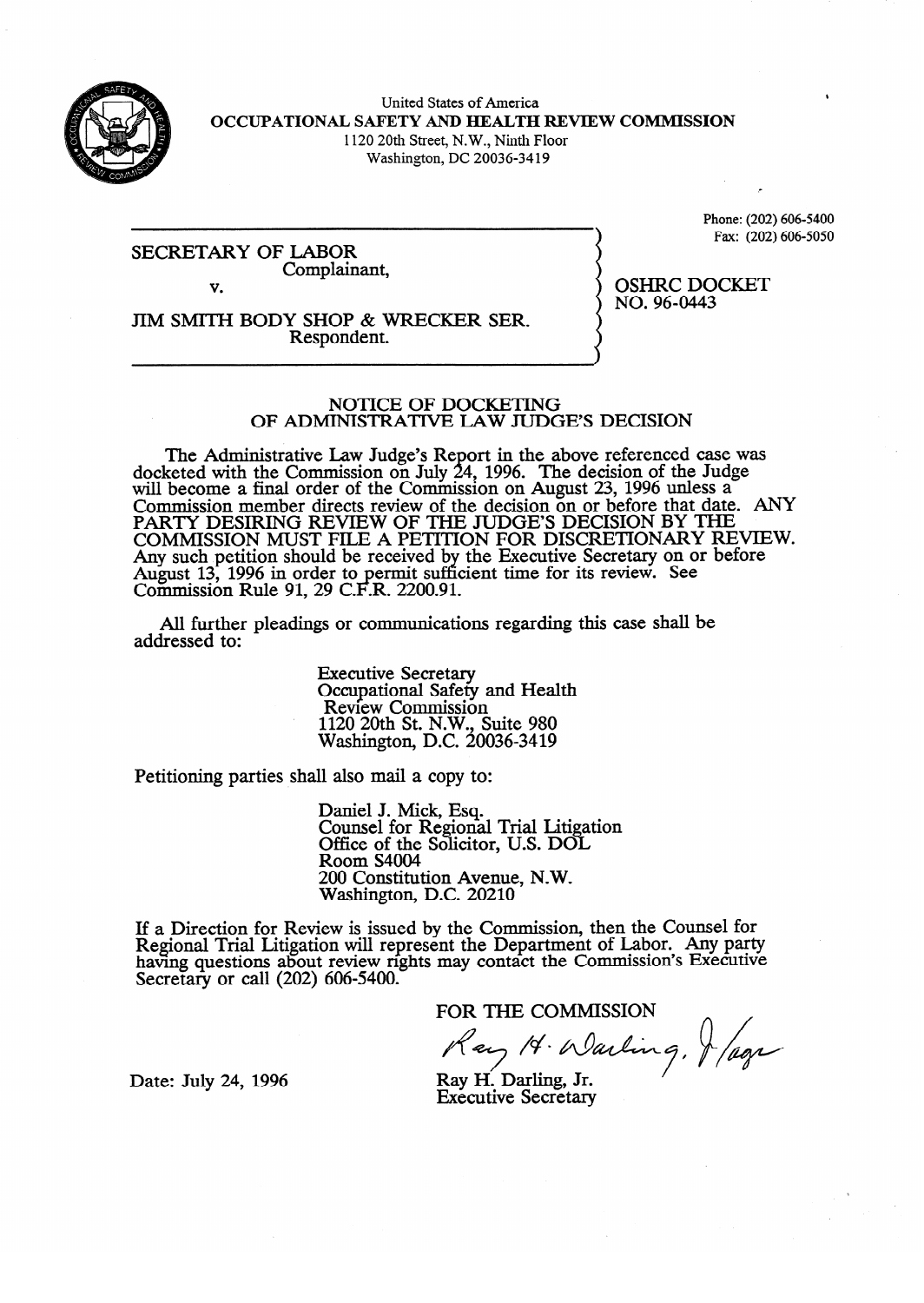

United States of America **OCCUPATIONAL SAFETY AND HEALTH REVIEW COMMISSION** 1120 20th Street, N.W., Ninth Floor Washington, DC 20036-34 19

SECRETARY OF Complair Complainant, Phone:  $(202) 606 - 5400$  $F = \frac{1}{20}$ 

OSHRC DOCKET<br>NO. 96-0443

 $\frac{1}{2}$ 

.-

v. JIM SMITH BODY SHOP & WRECKER SER.<br>Respondent. Respondent.

#### NOTICE OF DOCKETING OF ADMINISTRATIVE LAW JUDGE'S DECISION

OF ADMINISTRATIVE **LAW JUDGE'S DECISION**  seted with the Commission on July 24, 1996. The decision of the Judge will become a final order of the Commission on August  $23$ , 1996 unless a commission or an analyze  $\sigma$ Commission member directs review of the decision on or before that date<br>DARTY DESIDING REVIEW OF THE HIDGE'S DECISION BY THE PAKI I DESIKING KEVIEW OF THE JUDGE'S DECISION OT THE POLITICAL PROPERTY IS ANY BEFORE THAT DATE. AND DEVIEW I COMMISSION MUST FILE A PETITION FOR DISCRETIONART RE<br>Agriculate position should be received by the Fuegutive Secretary on or bei Any such pennon should be received by the Executive Secretary on or before<br>Awgust 12, 1006 in order to permit sufficient time for its review. See August 13, 1990 in order to permit sufficient time for its review. See<br>Commission Pula 01.20 C E R 2200.01 Commission Kuie 91, 29 C.F.K.  $2200.91$ .

All further pleadings or communication  $A$  further pleading or communications regarding the communications regarding the case shall be shall be shall be shall be shall be shall be shall be shall be shall be shall be shall be shall be shall be shall be shall be

> **Executive Secretary** Review Commissio  $1120$  20th St. N.W., Suite 980  $W$ ashington, D.C. 20 1120 20th St. N.W., Suite 980

Petitioning parties shall also mail a copy to:

Daniel J. Mick, Esq.<br>Counsel for Regional Trial Litigation Office of the Solicitor, U.S. DOL Room S4004 200 Constitution Avenue, N.W. Washington, D.C. 20210

 $2000$  Constitution Avenue, N.W.  $e^{i(\theta)}$  is usually the Com having questions about review rights may contact the Commission's Executive Secretary or call  $(202)$  606-5400.

FOR THE COMMISSION

Ray 14. Warling, Jage

Date: July 24, 1996

Ray H. Darling, Jr. **Executive Secretary**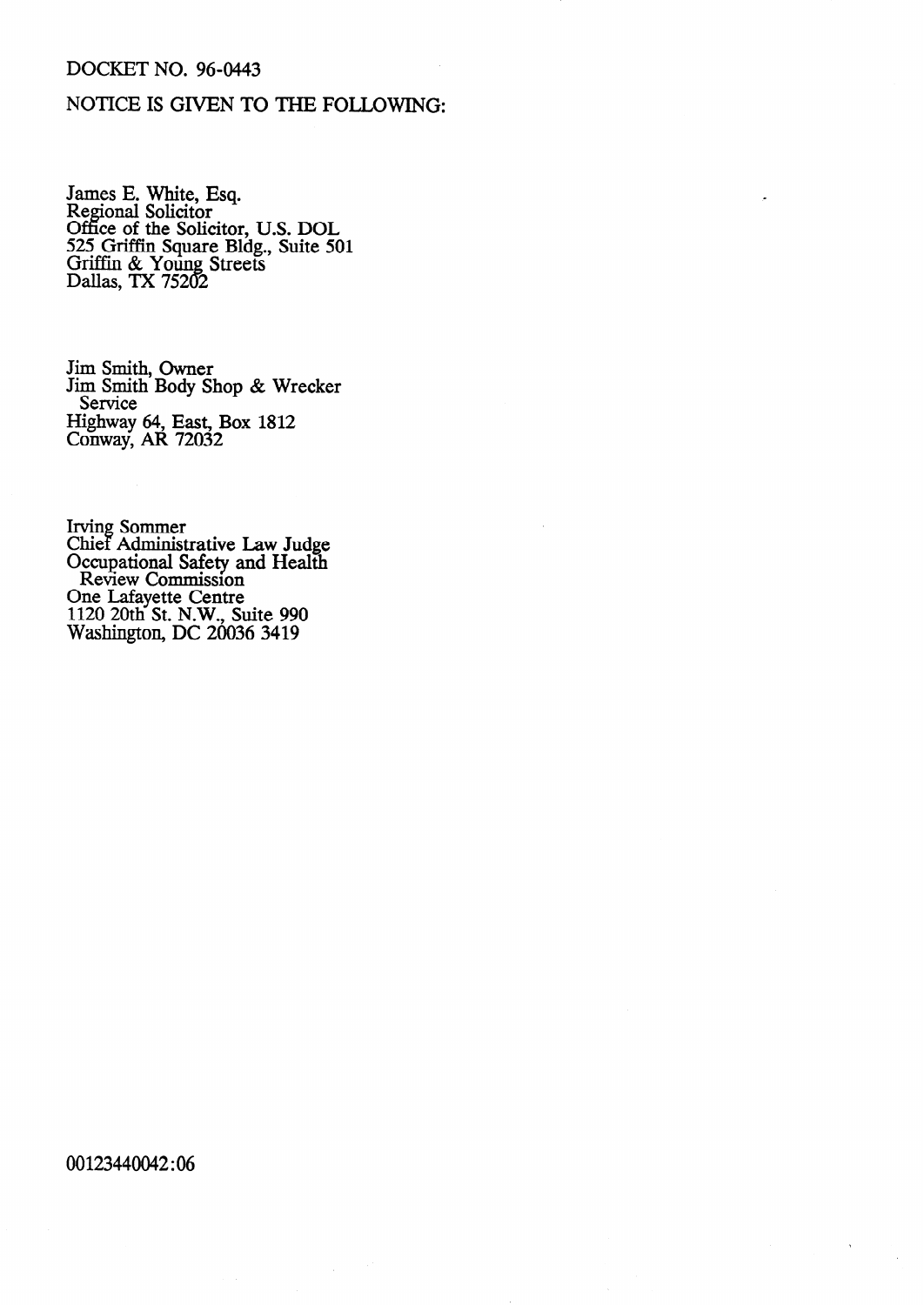## **DOCKET NO. 96-0443**

# NOTICE IS GIVEN TO THE FOLLOWING:

James E. White, Esq.<br>Regional Solicitor<br>Office of the Solicitor, U.S. DOL<br>525 Griffin Square Bldg., Suite 501<br>Griffin & Young Streets<br>Dallas, TX 75202

Jim Smith, Owner<br>Jim Smith Body Shop & Wrecker Service Highway 64, East, Box 1812<br>Conway, AR 72032

Irving Sommer<br>Chief Administrative Law Judge<br>Occupational Safety and Health<br>Review Commission One Lafayette Centre<br>1120 20th St. N.W., Suite 990<br>Washington, DC 20036 3419

#### 00123440042:06

 $\hat{\mathcal{L}}$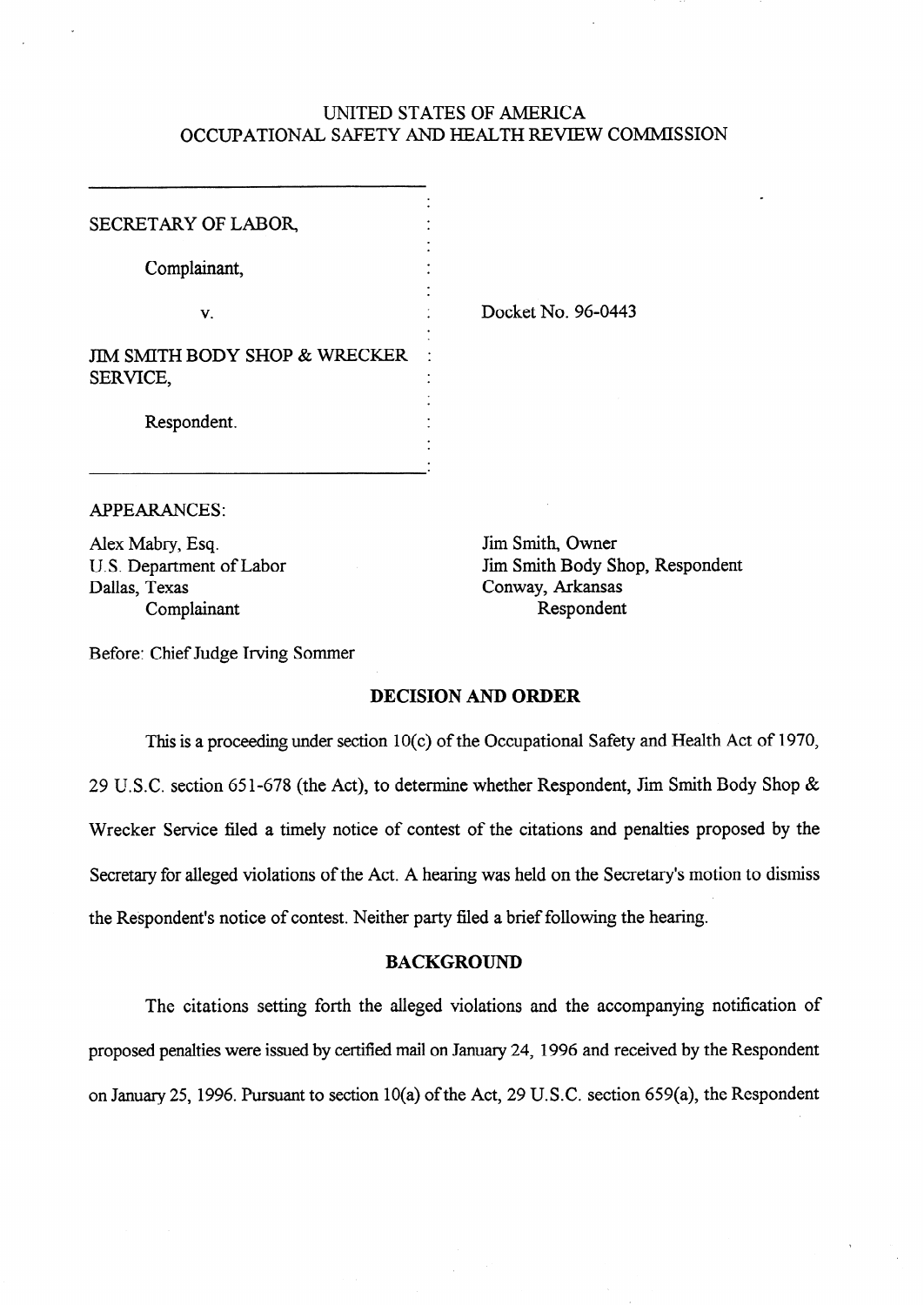## UNITED STATES OF AMERICA OCCUPATIONAL SAFETY AND HEALTH REVIEW COMMISSION

| SECRETARY OF LABOR,                       |  |
|-------------------------------------------|--|
| Complainant,                              |  |
| V.                                        |  |
| JIM SMITH BODY SHOP & WRECKER<br>SERVICE, |  |
| Respondent.                               |  |

. Docket No. 96-0443

APPEARANCES:

Alex Mabry, Esq.  $\blacksquare$  Jim Smith, Owner Dallas, Texas Conway, Arkansas Complainant Respondent

U.S. Department of Labor Jim Smith Body Shop, Respondent

Before: Chief Judge Irving Sommer

## DECISION AND ORDER

This is a proceeding under section **10(c)** of the Occupational Safety and Health Act of 1970, 29 U.S.C. section 651-678 (the Act), to determine whether Respondent, Jim Smith Body Shop & Wrecker Service filed a timely notice of contest of the citations and penalties proposed by the Secretary for alleged violations of the Act. A hearing was held on the Secretary's motion to dismiss the Respondent's notice of contest. Neither party filed a brief following the hearing.

## BACKGROUND

The citations setting forth the alleged violations and the accompanying notification of proposed penalties were issued by certified mail on January 24, 1996 and received by the Respondent on January 25, 1996. Pursuant to section 10(a) of the Act, 29 U.S.C. section 659(a), the Respondent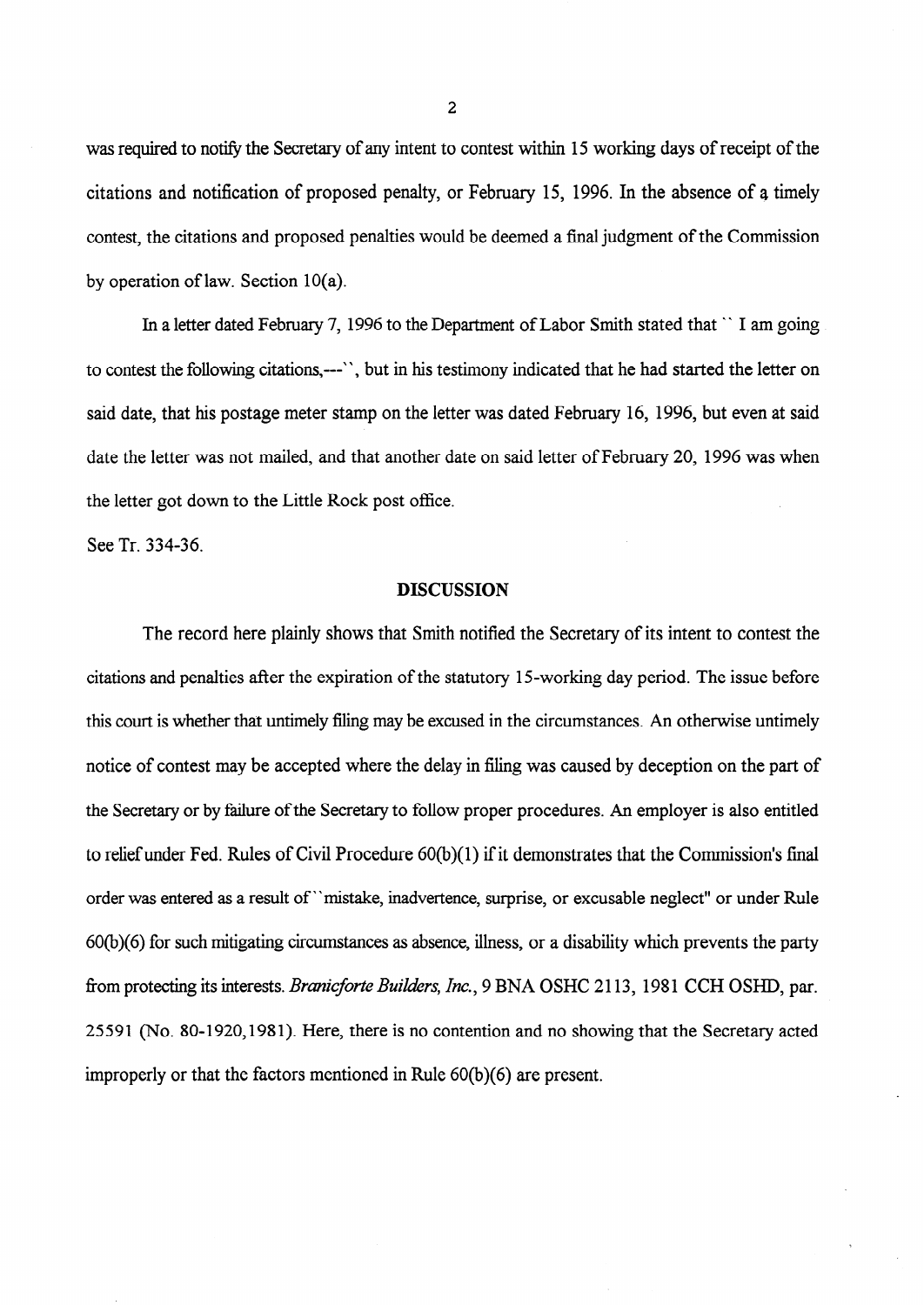was required to notify the Secretary of any intent to contest within 15 working days of receipt of the citations and notification of proposed penalty, or February 15, 1996. In the absence of a timely contest, the citations and proposed penalties would be deemed a final judgment of the Commission by operation of law. Section 10(a).

In a letter dated February 7, 1996 to the Department of Labor Smith stated that " **I am** going to contest the following citations,---' ' , but in his testimony indicated that he had started the letter on said date, that his postage meter stamp on the letter was dated February 16, 1996, but even at said date the letter was not mailed, and that another date on said letter of February 20, 1996 was when the letter got down to the Little Rock post office.

See Tr. 334-36.

#### DISCUSSION

The record here plainly shows that Smith notified the Secretary of its intent to contest the citations and penalties after the expiration of the statutory 15-working day period. The issue before this court is whether that untimely filing may be excused in the circumstances. An otherwise untimely notice of contest may be accepted where the delay in filing was caused by deception on the part of the Secretary or by failure of the Secretary to follow proper procedures. An employer is also entitled to relief under Fed. Rules of Civil Procedure 6O(b)( 1) if it demonstrates that the Commission's final order was entered as a result of "mistake, inadvertence, surprise, or excusable neglect" or under Rule **60(b)(6)** for such mitigating circumstances as absence, illness, or a disability which prevents the party from protecting its interests. *Branicforte Builders, Inc.*, 9 BNA OSHC 2113, 1981 CCH OSHD, par. **2559 1** (No. **SO-1920,198 1).** Here, there is no contention and no showing that the Secretary acted improperly or that the factors mentioned in Rule 60(b)(6) are present.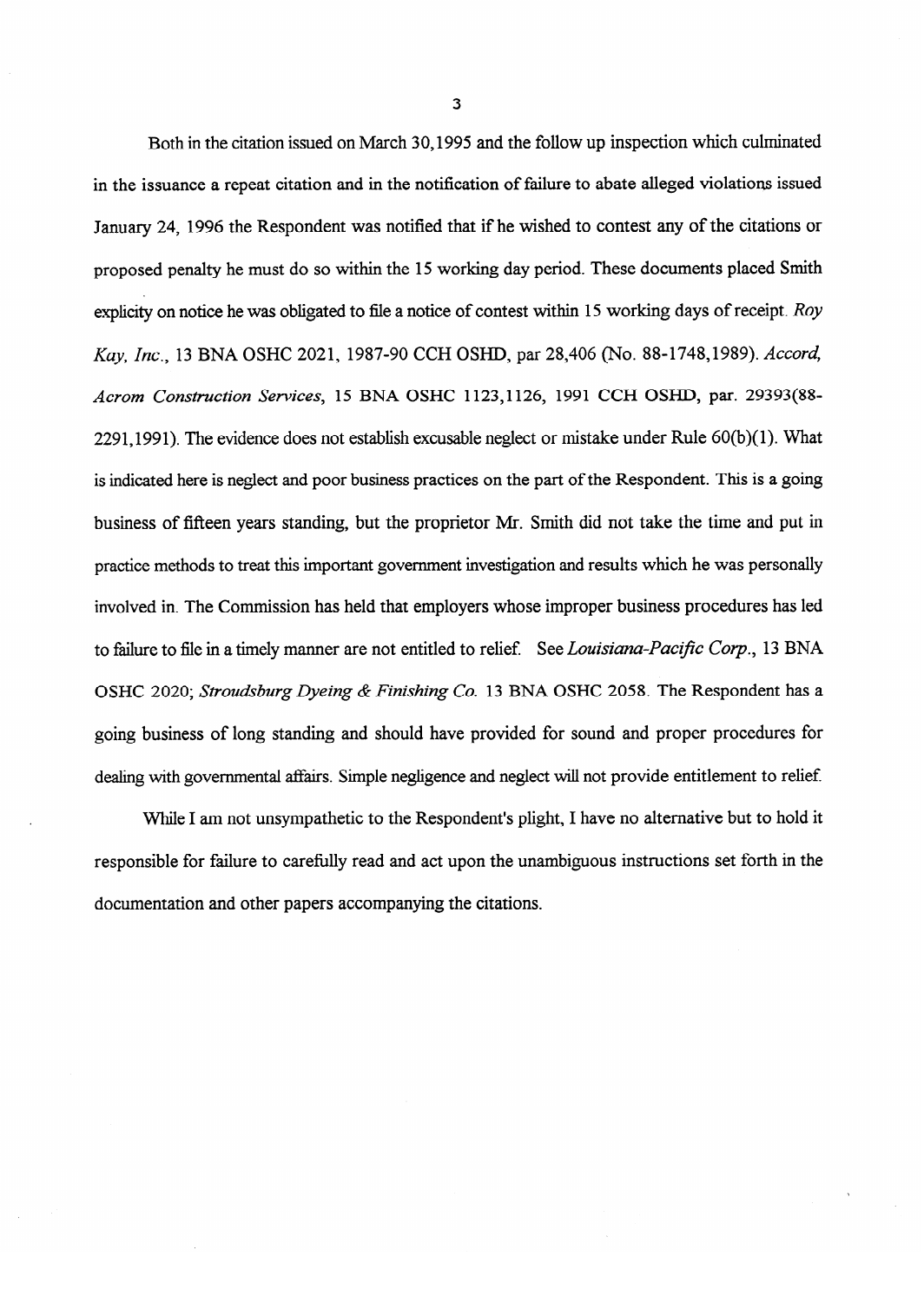**Both** in the citation issued on March 30,1995 and the follow up inspection which culminated in the issuance a repeat citation and in the notification of failure to abate alleged violations issued January 24, 1996 the Respondent was notified that if he wished to contest any of the citations or proposed penalty he must do so within the 15 working day period. These documents placed Smith explicity on notice he was obligated to file a notice of contest within 15 working days of receipt. Roy Kay, *Inc.,* 13 BNA OSHC 2021, 1987-90 CCH OSHD, par 28,406 (No. 8%1748,1989). *Accord,*  Acrom Construction Services, 15 BNA OSHC 1123,1126, 1991 CCH OSHD, par. 29393(88-2291,1991). The evidence does not establish excusable neglect or mistake under Rule 60(b)(1). What is indicated here is neglect and poor business practices on the part of the Respondent. This is a going business of fifteen years standing, but the proprietor Mr. Smith did not take the time and put in practice methods to treat this important government investigation and results which he was personally to failure to file in a timely manner are not entitled to relief. See Louisiana-Pacific Corp., 13 BNA OSHC 2020; Stroudsburg Dyeing & Finishing Co. 13 BNA OSHC 2058. The Respondent has a going business of long standing and should have provided for sound and proper procedures for dealing with governmental affairs. Simple negligence and neglect will not provide entitlement to relief.

While I am not unsympathetic to the Respondent's plight, I have no alternative but to hold it responsible for failure to carefully read and act upon the unambiguous instructions set forth in the documentation and other papers accompanying the citations.